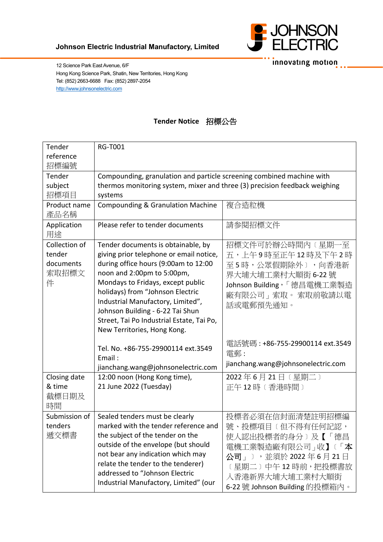



innovating motion

12 Science Park East Avenue, 6/F Hong Kong Science Park, Shatin, New Territories, Hong Kong Tel: (852) 2663-6688 Fax: (852) 2897-2054 [http://www.johnsonelectric.com](http://www.johnsonelectric.com/)

## **Tender Notice** 招標公告

| Tender                                             | <b>RG-T001</b>                                                                                                                                                                                                                                                                                                                                                                    |                                                                                                                                                                                |  |
|----------------------------------------------------|-----------------------------------------------------------------------------------------------------------------------------------------------------------------------------------------------------------------------------------------------------------------------------------------------------------------------------------------------------------------------------------|--------------------------------------------------------------------------------------------------------------------------------------------------------------------------------|--|
| reference                                          |                                                                                                                                                                                                                                                                                                                                                                                   |                                                                                                                                                                                |  |
| 招標編號<br>Tender                                     | Compounding, granulation and particle screening combined machine with                                                                                                                                                                                                                                                                                                             |                                                                                                                                                                                |  |
| subject                                            | thermos monitoring system, mixer and three (3) precision feedback weighing                                                                                                                                                                                                                                                                                                        |                                                                                                                                                                                |  |
| 招標項目                                               | systems                                                                                                                                                                                                                                                                                                                                                                           |                                                                                                                                                                                |  |
| Product name<br>產品名稱                               | <b>Compounding &amp; Granulation Machine</b>                                                                                                                                                                                                                                                                                                                                      | 複合造粒機                                                                                                                                                                          |  |
| Application<br>用途                                  | Please refer to tender documents                                                                                                                                                                                                                                                                                                                                                  | 請参閱招標文件                                                                                                                                                                        |  |
| Collection of<br>tender<br>documents<br>索取招標文<br>件 | Tender documents is obtainable, by<br>giving prior telephone or email notice,<br>during office hours (9:00am to 12:00<br>noon and 2:00pm to 5:00pm,<br>Mondays to Fridays, except public<br>holidays) from "Johnson Electric<br>Industrial Manufactory, Limited",<br>Johnson Building - 6-22 Tai Shun<br>Street, Tai Po Industrial Estate, Tai Po,<br>New Territories, Hong Kong. | 招標文件可於辦公時間內〔星期一至<br>五,上午9時至正午12時及下午2時<br>至5時,公眾假期除外〕,向香港新<br>界大埔大埔工業村大順街 6-22 號<br>Johnson Building,「德昌電機工業製造<br>廠有限公司﹔索取。 索取前敬請以電<br>話或電郵預先通知。                                |  |
|                                                    | Tel. No. +86-755-29900114 ext.3549<br>Email:<br>jianchang.wang@johnsonelectric.com                                                                                                                                                                                                                                                                                                | 電話號碼 : +86-755-29900114 ext.3549<br>電郵:<br>jianchang.wang@johnsonelectric.com                                                                                                  |  |
| Closing date<br>& time<br>截標日期及<br>時間              | 12:00 noon (Hong Kong time),<br>21 June 2022 (Tuesday)                                                                                                                                                                                                                                                                                                                            | 2022年6月21日〔星期二〕<br>正午12時〔香港時間〕                                                                                                                                                 |  |
| Submission of<br>tenders<br>遞交標書                   | Sealed tenders must be clearly<br>marked with the tender reference and<br>the subject of the tender on the<br>outside of the envelope (but should<br>not bear any indication which may<br>relate the tender to the tenderer)<br>addressed to "Johnson Electric<br>Industrial Manufactory, Limited" (our                                                                           | 投標者必須在信封面清楚註明招標編<br>號、投標項目〔但不得有任何記認,<br>使人認出投標者的身分〕及【「德昌<br>電機工業製造廠有限公司 -收】〔「本<br>公司」),並須於2022年6月21日<br>(星期二)中午12時前,把投標書放<br>入香港新界大埔大埔工業村大順街<br>6-22 號 Johnson Building 的投標箱內。 |  |